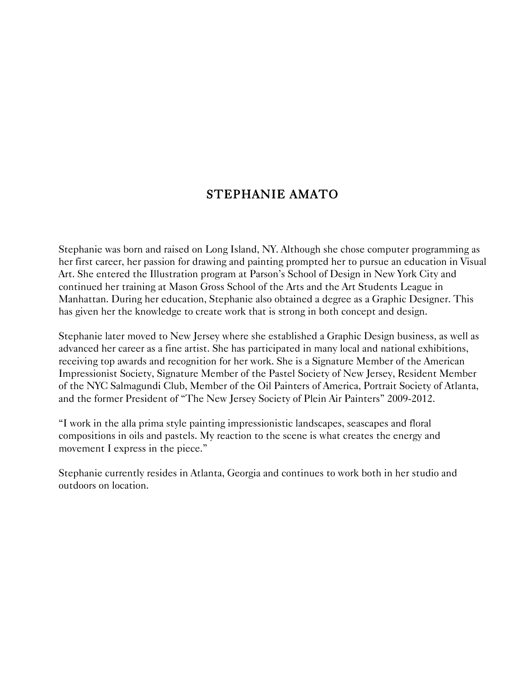# STEPHANIE AMATO

Stephanie was born and raised on Long Island, NY. Although she chose computer programming as her first career, her passion for drawing and painting prompted her to pursue an education in Visual Art. She entered the Illustration program at Parson's School of Design in New York City and continued her training at Mason Gross School of the Arts and the Art Students League in Manhattan. During her education, Stephanie also obtained a degree as a Graphic Designer. This has given her the knowledge to create work that is strong in both concept and design.

Stephanie later moved to New Jersey where she established a Graphic Design business, as well as advanced her career as a fine artist. She has participated in many local and national exhibitions, receiving top awards and recognition for her work. She is a Signature Member of the American Impressionist Society, Signature Member of the Pastel Society of New Jersey, Resident Member of the NYC Salmagundi Club, Member of the Oil Painters of America, Portrait Society of Atlanta, and the former President of "The New Jersey Society of Plein Air Painters" 2009-2012.

"I work in the alla prima style painting impressionistic landscapes, seascapes and floral compositions in oils and pastels. My reaction to the scene is what creates the energy and movement I express in the piece."

Stephanie currently resides in Atlanta, Georgia and continues to work both in her studio and outdoors on location.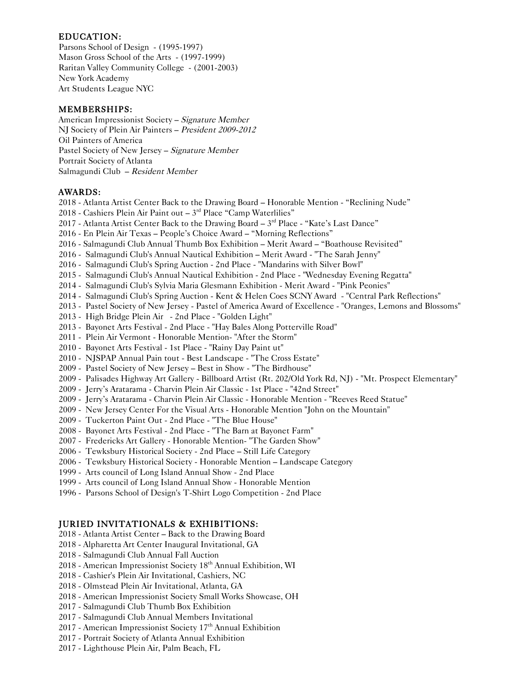### EDUCATION:

Parsons School of Design - (1995-1997) Mason Gross School of the Arts - (1997-1999) Raritan Valley Community College - (2001-2003) New York Academy Art Students League NYC

#### MEMBERSHIPS:

American Impressionist Society – Signature Member NJ Society of Plein Air Painters – President 2009-2012 Oil Painters of America Pastel Society of New Jersey – Signature Member Portrait Society of Atlanta Salmagundi Club – Resident Member

#### AWARDS:

2018 - Atlanta Artist Center Back to the Drawing Board – Honorable Mention - "Reclining Nude"

- 2018 Cashiers Plein Air Paint out 3rd Place "Camp Waterlilies"
- 2017 Atlanta Artist Center Back to the Drawing Board  $-3<sup>rd</sup>$  Place "Kate's Last Dance"
- 2016 En Plein Air Texas People's Choice Award "Morning Reflections"
- 2016 Salmagundi Club Annual Thumb Box Exhibition Merit Award "Boathouse Revisited"
- 2016 Salmagundi Club's Annual Nautical Exhibition Merit Award "The Sarah Jenny"
- 2016 Salmagundi Club's Spring Auction 2nd Place "Mandarins with Silver Bowl"
- 2015 Salmagundi Club's Annual Nautical Exhibition 2nd Place "Wednesday Evening Regatta"
- 2014 Salmagundi Club's Sylvia Maria Glesmann Exhibition Merit Award "Pink Peonies"
- 2014 Salmagundi Club's Spring Auction Kent & Helen Coes SCNY Award "Central Park Reflections"
- 2013 Pastel Society of New Jersey Pastel of America Award of Excellence "Oranges, Lemons and Blossoms"
- 2013 High Bridge Plein Air 2nd Place "Golden Light"
- 2013 Bayonet Arts Festival 2nd Place "Hay Bales Along Potterville Road"
- 2011 Plein Air Vermont Honorable Mention- "After the Storm"
- 2010 Bayonet Arts Festival 1st Place "Rainy Day Paint ut"
- 2010 NJSPAP Annual Pain tout Best Landscape "The Cross Estate"
- 2009 Pastel Society of New Jersey Best in Show "The Birdhouse"
- 2009 Palisades Highway Art Gallery Billboard Artist (Rt. 202/Old York Rd, NJ) "Mt. Prospect Elementary"
- 2009 Jerry's Aratarama Charvin Plein Air Classic 1st Place "42nd Street"
- 2009 Jerry's Aratarama Charvin Plein Air Classic Honorable Mention "Reeves Reed Statue"
- 2009 New Jersey Center For the Visual Arts Honorable Mention "John on the Mountain"
- 2009 Tuckerton Paint Out 2nd Place "The Blue House"
- 2008 Bayonet Arts Festival 2nd Place "The Barn at Bayonet Farm"
- 2007 Fredericks Art Gallery Honorable Mention- "The Garden Show"
- 2006 Tewksbury Historical Society 2nd Place Still Life Category
- 2006 Tewksbury Historical Society Honorable Mention Landscape Category
- 1999 Arts council of Long Island Annual Show 2nd Place
- 1999 Arts council of Long Island Annual Show Honorable Mention
- 1996 Parsons School of Design's T-Shirt Logo Competition 2nd Place

## JURIED INVITATIONALS & EXHIBITIONS:

- 2018 Atlanta Artist Center Back to the Drawing Board
- 2018 Alpharetta Art Center Inaugural Invitational, GA
- 2018 Salmagundi Club Annual Fall Auction
- 2018 American Impressionist Society 18th Annual Exhibition, WI
- 2018 Cashier's Plein Air Invitational, Cashiers, NC
- 2018 Olmstead Plein Air Invitational, Atlanta, GA
- 2018 American Impressionist Society Small Works Showcase, OH
- 2017 Salmagundi Club Thumb Box Exhibition
- 2017 Salmagundi Club Annual Members Invitational
- 2017 American Impressionist Society 17<sup>th</sup> Annual Exhibition
- 2017 Portrait Society of Atlanta Annual Exhibition
- 2017 Lighthouse Plein Air, Palm Beach, FL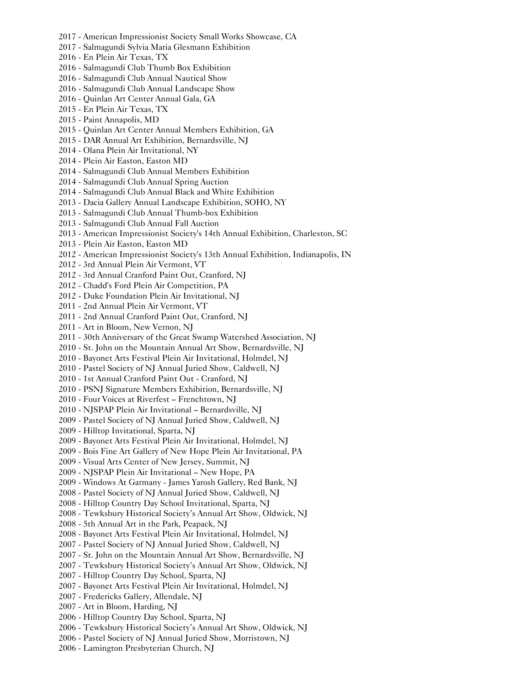2017 - American Impressionist Society Small Works Showcase, CA 2017 - Salmagundi Sylvia Maria Glesmann Exhibition 2016 - En Plein Air Texas, TX 2016 - Salmagundi Club Thumb Box Exhibition 2016 - Salmagundi Club Annual Nautical Show 2016 - Salmagundi Club Annual Landscape Show 2016 - Quinlan Art Center Annual Gala, GA 2015 - En Plein Air Texas, TX 2015 - Paint Annapolis, MD 2015 - Quinlan Art Center Annual Members Exhibition, GA 2015 - DAR Annual Art Exhibition, Bernardsville, NJ 2014 - Olana Plein Air Invitational, NY 2014 - Plein Air Easton, Easton MD 2014 - Salmagundi Club Annual Members Exhibition 2014 - Salmagundi Club Annual Spring Auction 2014 - Salmagundi Club Annual Black and White Exhibition 2013 - Dacia Gallery Annual Landscape Exhibition, SOHO, NY 2013 - Salmagundi Club Annual Thumb-box Exhibition 2013 - Salmagundi Club Annual Fall Auction 2013 - American Impressionist Society's 14th Annual Exhibition, Charleston, SC 2013 - Plein Air Easton, Easton MD 2012 - American Impressionist Society's 13th Annual Exhibition, Indianapolis, IN 2012 - 3rd Annual Plein Air Vermont, VT 2012 - 3rd Annual Cranford Paint Out, Cranford, NJ 2012 - Chadd's Ford Plein Air Competition, PA 2012 - Duke Foundation Plein Air Invitational, NJ 2011 - 2nd Annual Plein Air Vermont, VT 2011 - 2nd Annual Cranford Paint Out, Cranford, NJ 2011 - Art in Bloom, New Vernon, NJ 2011 - 30th Anniversary of the Great Swamp Watershed Association, NJ 2010 - St. John on the Mountain Annual Art Show, Bernardsville, NJ 2010 - Bayonet Arts Festival Plein Air Invitational, Holmdel, NJ 2010 - Pastel Society of NJ Annual Juried Show, Caldwell, NJ 2010 - 1st Annual Cranford Paint Out - Cranford, NJ 2010 - PSNJ Signature Members Exhibition, Bernardsville, NJ 2010 - Four Voices at Riverfest – Frenchtown, NJ 2010 - NJSPAP Plein Air Invitational – Bernardsville, NJ 2009 - Pastel Society of NJ Annual Juried Show, Caldwell, NJ 2009 - Hilltop Invitational, Sparta, NJ 2009 - Bayonet Arts Festival Plein Air Invitational, Holmdel, NJ 2009 - Bois Fine Art Gallery of New Hope Plein Air Invitational, PA 2009 - Visual Arts Center of New Jersey, Summit, NJ 2009 - NJSPAP Plein Air Invitational – New Hope, PA 2009 - Windows At Garmany - James Yarosh Gallery, Red Bank, NJ 2008 - Pastel Society of NJ Annual Juried Show, Caldwell, NJ 2008 - Hilltop Country Day School Invitational, Sparta, NJ 2008 - Tewksbury Historical Society's Annual Art Show, Oldwick, NJ 2008 - 5th Annual Art in the Park, Peapack, NJ 2008 - Bayonet Arts Festival Plein Air Invitational, Holmdel, NJ 2007 - Pastel Society of NJ Annual Juried Show, Caldwell, NJ 2007 - St. John on the Mountain Annual Art Show, Bernardsville, NJ 2007 - Tewksbury Historical Society's Annual Art Show, Oldwick, NJ 2007 - Hilltop Country Day School, Sparta, NJ 2007 - Bayonet Arts Festival Plein Air Invitational, Holmdel, NJ 2007 - Fredericks Gallery, Allendale, NJ 2007 - Art in Bloom, Harding, NJ 2006 - Hilltop Country Day School, Sparta, NJ 2006 - Tewksbury Historical Society's Annual Art Show, Oldwick, NJ 2006 - Pastel Society of NJ Annual Juried Show, Morristown, NJ

2006 - Lamington Presbyterian Church, NJ